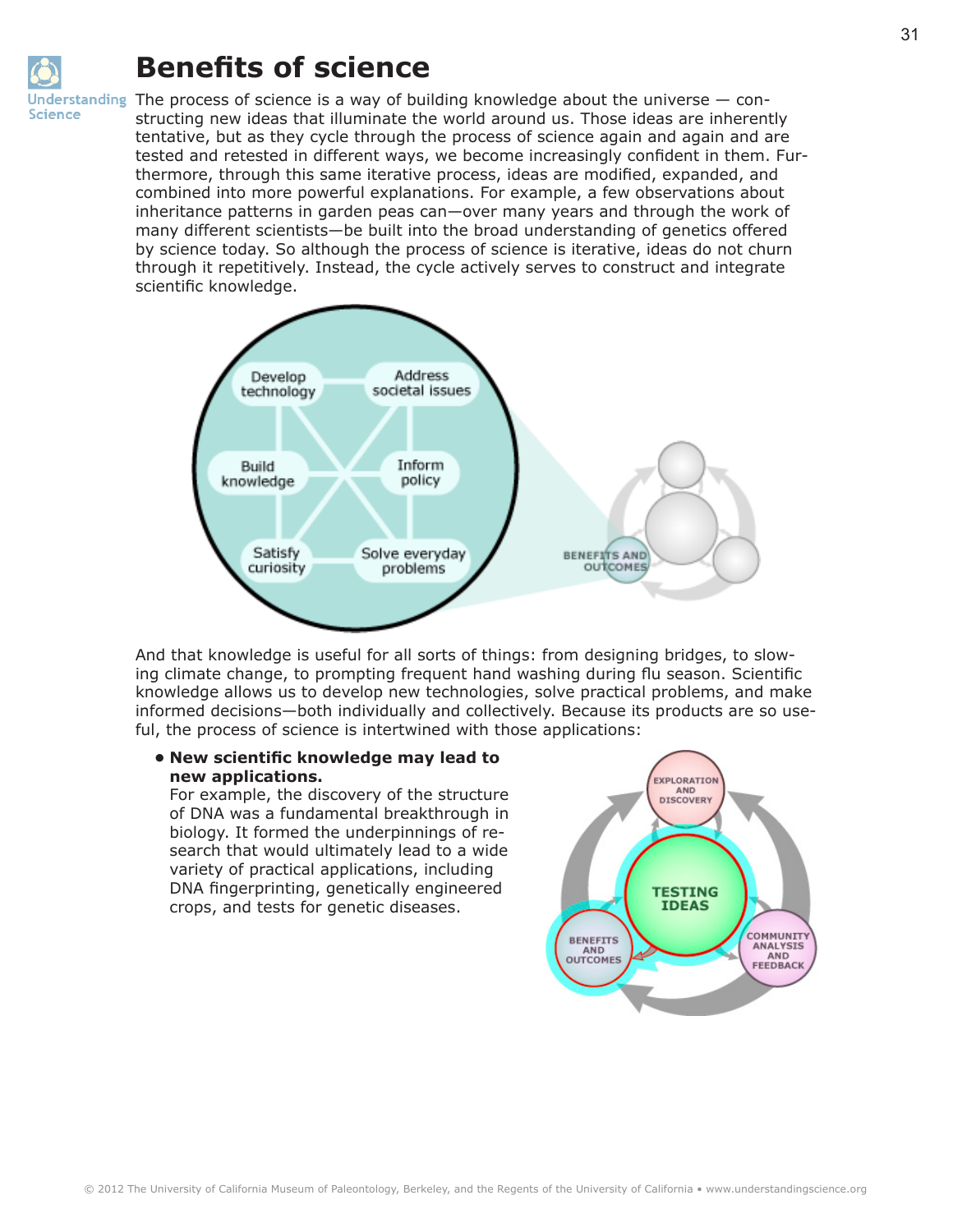

## **Benefits of science**

Inderstanding The process of science is a way of building knowledge about the universe  $-$  constructing new ideas that illuminate the world around us. Those ideas are inherently tentative, but as they cycle through the process of science again and again and are tested and retested in different ways, we become increasingly confident in them. Furthermore, through this same iterative process, ideas are modified, expanded, and combined into more powerful explanations. For example, a few observations about inheritance patterns in garden peas can—over many years and through the work of many different scientists—be built into the broad understanding of genetics offered by science today. So although the process of science is iterative, ideas do not churn through it repetitively. Instead, the cycle actively serves to construct and integrate scientific knowledge.



And that knowledge is useful for all sorts of things: from designing bridges, to slowing climate change, to prompting frequent hand washing during flu season. Scientific knowledge allows us to develop new technologies, solve practical problems, and make informed decisions—both individually and collectively. Because its products are so useful, the process of science is intertwined with those applications:

## **• New scientific knowledge may lead to new applications.**

For example, the discovery of the structure of DNA was a fundamental breakthrough in biology. It formed the underpinnings of research that would ultimately lead to a wide variety of practical applications, including DNA fingerprinting, genetically engineered crops, and tests for genetic diseases.